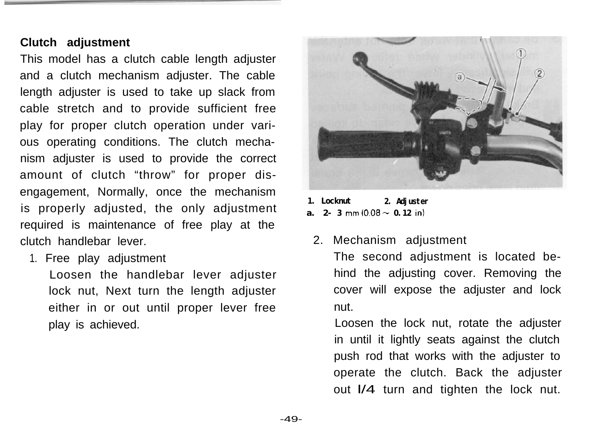## **Clutch adjustment**

This model has a clutch cable length adjuster and a clutch mechanism adjuster. The cable length adjuster is used to take up slack from cable stretch and to provide sufficient free play for proper clutch operation under various operating conditions. The clutch mechanism adjuster is used to provide the correct amount of clutch "throw" for proper disengagement, Normally, once the mechanism is properly adjusted, the only adjustment required is maintenance of free play at the clutch handlebar lever.

1. Free play adjustment

Loosen the handlebar lever adjuster lock nut, Next turn the length adjuster either in or out until proper lever free play is achieved.



**1. Locknut 2. Adjuster a. 2**-**3** mm  $(0.08 \sim 0.12 \text{ in})$ 

2. Mechanism adjustment

The second adjustment is located behind the adjusting cover. Removing the cover will expose the adjuster and lock nut.

Loosen the lock nut, rotate the adjuster in until it lightly seats against the clutch push rod that works with the adjuster to operate the clutch. Back the adjuster out l/4 turn and tighten the lock nut.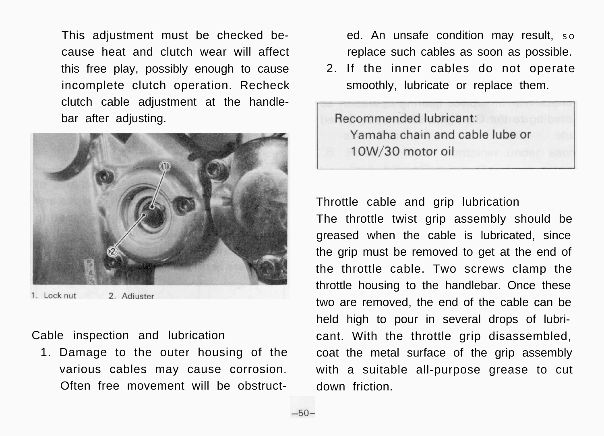This adjustment must be checked because heat and clutch wear will affect this free play, possibly enough to cause incomplete clutch operation. Recheck clutch cable adjustment at the handlebar after adjusting.



1. Lock nut 2. Adjuster

Cable inspection and lubrication

1. Damage to the outer housing of the various cables may cause corrosion. Often free movement will be obstructed. An unsafe condition may result, so replace such cables as soon as possible.

2. If the inner cables do not operate smoothly, lubricate or replace them.

Recommended lubricant: Yamaha chain and cable lube or 10W/30 motor oil

Throttle cable and grip lubrication

The throttle twist grip assembly should be greased when the cable is lubricated, since the grip must be removed to get at the end of the throttle cable. Two screws clamp the throttle housing to the handlebar. Once these two are removed, the end of the cable can be held high to pour in several drops of lubricant. With the throttle grip disassembled, coat the metal surface of the grip assembly with a suitable all-purpose grease to cut down friction.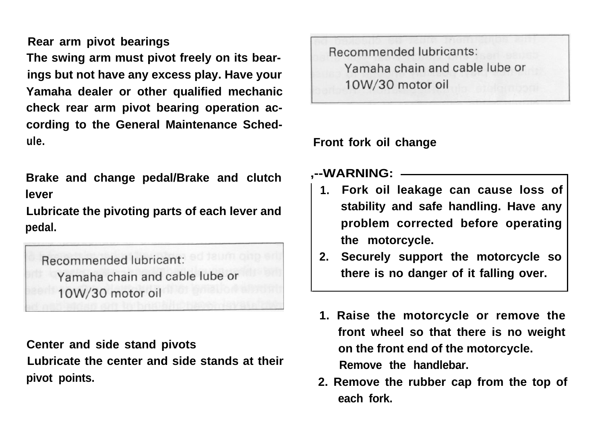**Rear arm pivot bearings**

**The swing arm must pivot freely on its bearings but not have any excess play. Have your Yamaha dealer or other qualified mechanic check rear arm pivot bearing operation according to the General Maintenance Schedule.**

**Brake and change pedal/Brake and clutch lever**

**Lubricate the pivoting parts of each lever and pedal.**

Recommended lubricant: Yamaha chain and cable lube or 10W/30 motor oil

**Center and side stand pivots Lubricate the center and side stands at their pivot points.**

Recommended lubricants: Yamaha chain and cable lube or 10W/30 motor oil

## **Front fork oil change**

## **,--WARNING:**

- **1. Fork oil leakage can cause loss of stability and safe handling. Have any problem corrected before operating the motorcycle.**
- **2. Securely support the motorcycle so there is no danger of it falling over.**
- **1. Raise the motorcycle or remove the front wheel so that there is no weight on the front end of the motorcycle. Remove the handlebar.**
- **2. Remove the rubber cap from the top of each fork.**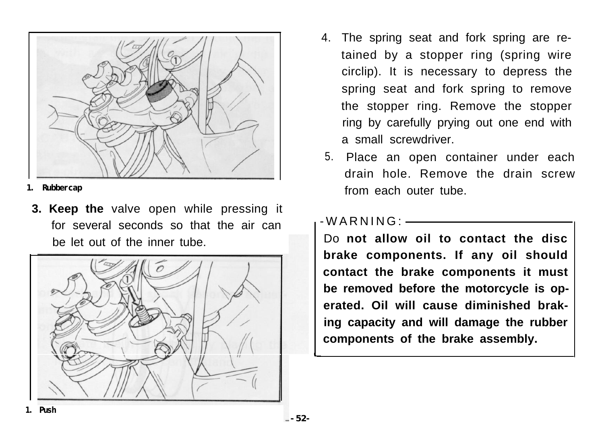

**1. Rubbercap**

**3. Keep the** valve open while pressing it for several seconds so that the air can be let out of the inner tube.



- 4. The spring seat and fork spring are retained by a stopper ring (spring wire circlip). It is necessary to depress the spring seat and fork spring to remove the stopper ring. Remove the stopper ring by carefully prying out one end with a small screwdriver.
- 5. Place an open container under each drain hole. Remove the drain screw from each outer tube.

-WARNING:

Do **not allow oil to contact the disc brake components. If any oil should contact the brake components it must be removed before the motorcycle is operated. Oil will cause diminished braking capacity and will damage the rubber components of the brake assembly.**

I-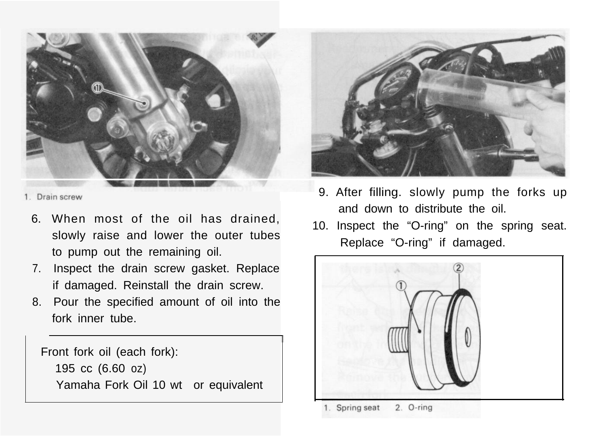

1 Drain screw

- 6. When most of the oil has drained, slowly raise and lower the outer tubes to pump out the remaining oil.
- 7. Inspect the drain screw gasket. Replace if damaged. Reinstall the drain screw.
- 8. Pour the specified amount of oil into the fork inner tube.

Front fork oil (each fork):

195 cc (6.60 oz) Yamaha Fork Oil 10 wt or equivalent



- 9. After filling. slowly pump the forks up and down to distribute the oil.
- 10. Inspect the "O-ring" on the spring seat. Replace "O-ring" if damaged.

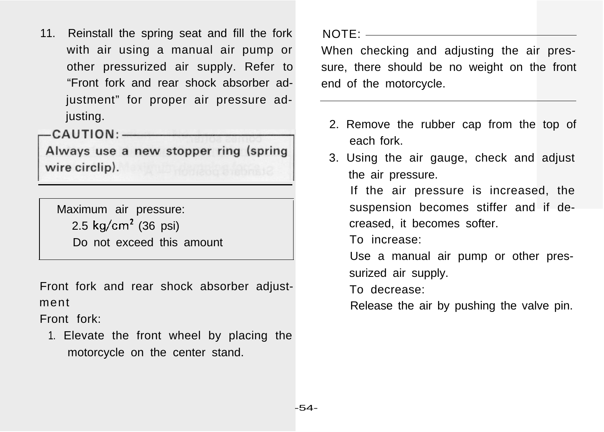11. Reinstall the spring seat and fill the fork with air using a manual air pump or other pressurized air supply. Refer to "Front fork and rear shock absorber adjustment" for proper air pressure adjusting.

 $-CAUTION:$ 

Always use a new stopper ring (spring wire circlip).

Maximum air pressure: 2.5 kg/cm<sup>2</sup> (36 psi) Do not exceed this amount

Front fork and rear shock absorber adjustment

Front fork:

1. Elevate the front wheel by placing the motorcycle on the center stand.

NOTE:

When checking and adjusting the air pressure, there should be no weight on the front end of the motorcycle.

- 2. Remove the rubber cap from the top of each fork.
- 3. Using the air gauge, check and adjust the air pressure.

If the air pressure is increased, the suspension becomes stiffer and if decreased, it becomes softer.

To increase:

Use a manual air pump or other pressurized air supply.

To decrease:

Release the air by pushing the valve pin.